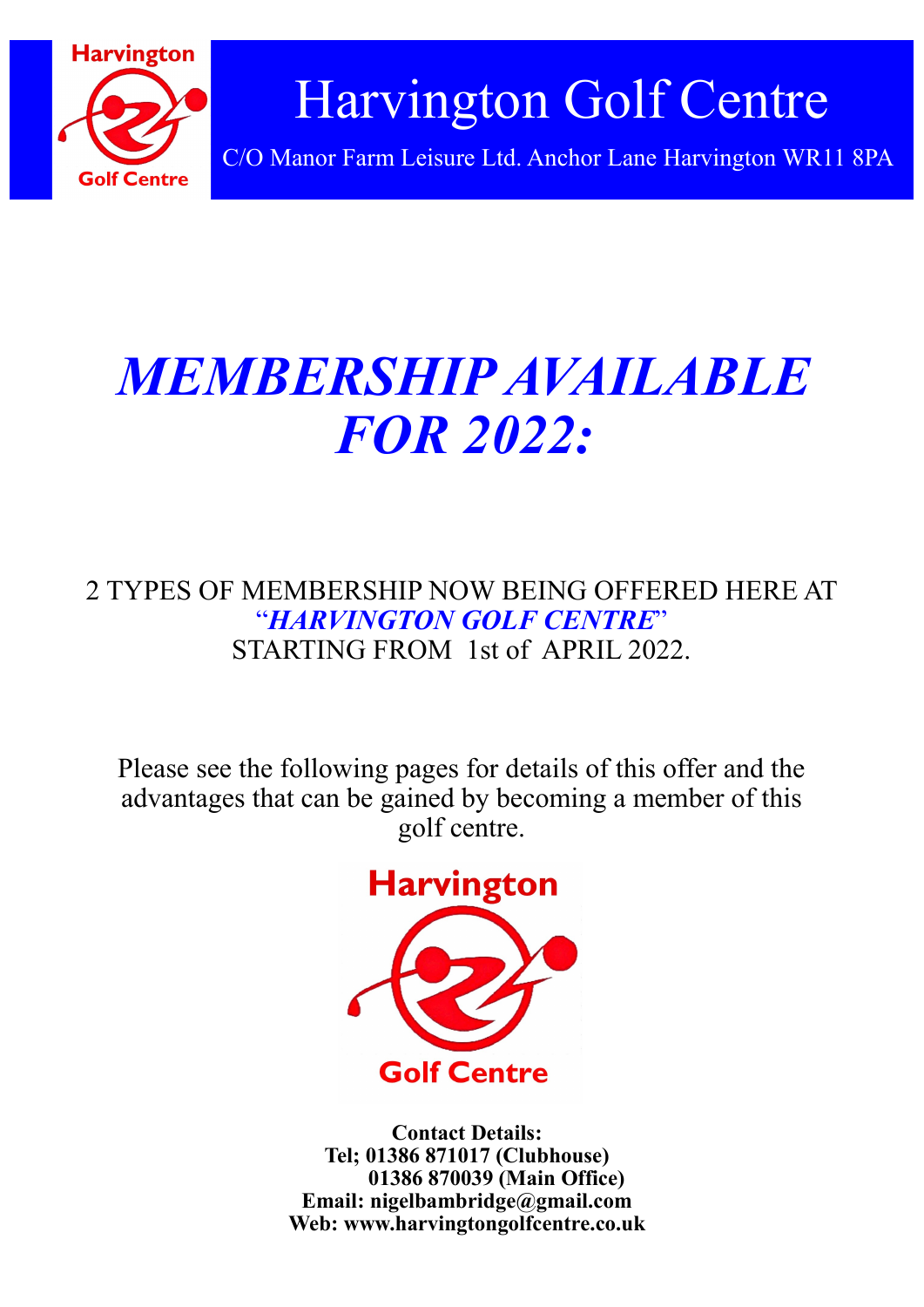

# *MEMBERSHIP AVAILABLE FOR 2022:*

## 2 TYPES OF MEMBERSHIP NOW BEING OFFERED HERE AT "*HARVINGTON GOLF CENTRE*" STARTING FROM 1st of APRIL 2022.

Please see the following pages for details of this offer and the advantages that can be gained by becoming a member of this golf centre.



**Contact Details: Tel; 01386 871017 (Clubhouse) 01386 870039 (Main Office) Email: nigelbambridge@gmail.com Web: www.harvingtongolfcentre.co.uk**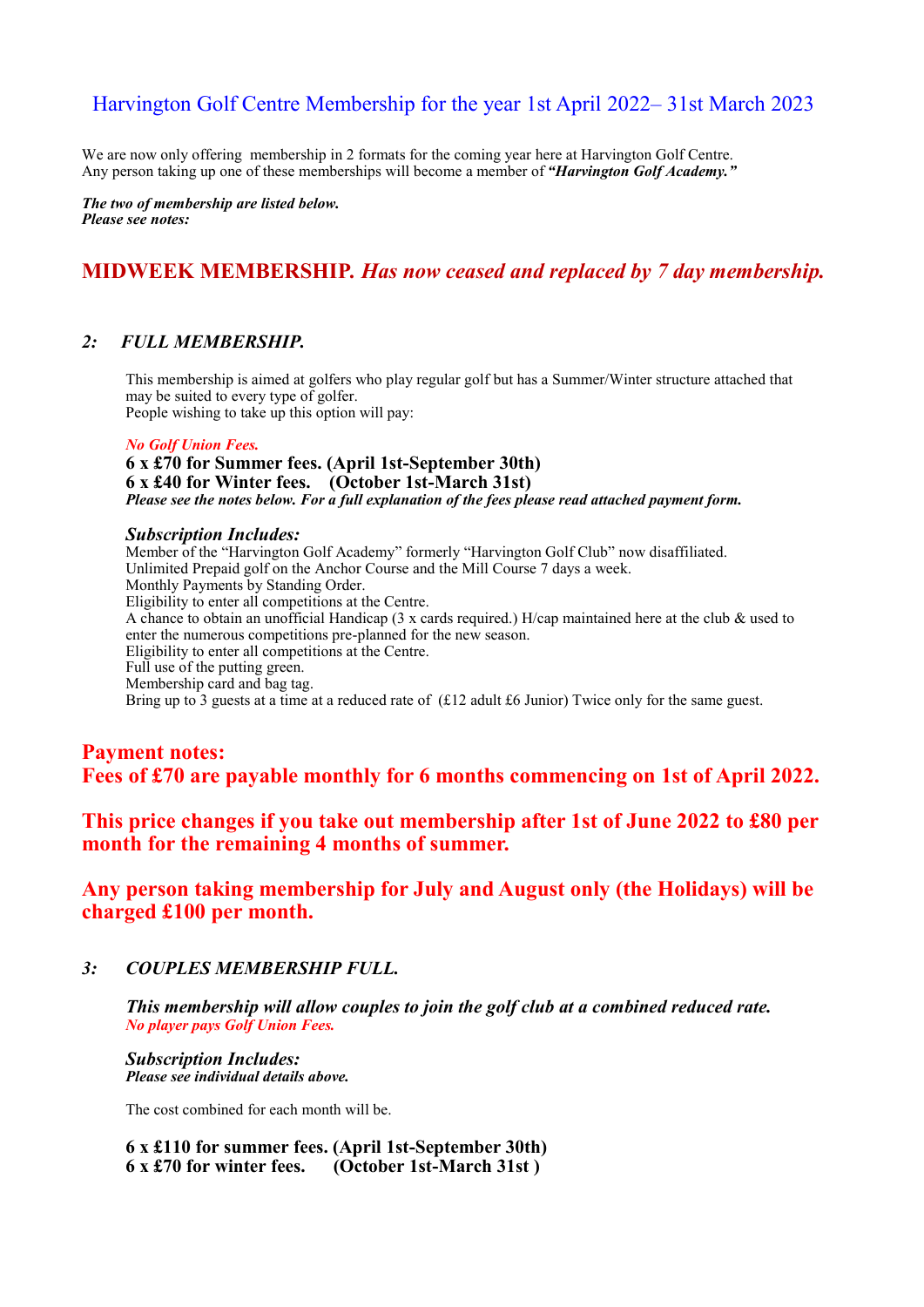## Harvington Golf Centre Membership for the year 1st April 2022– 31st March 2023

We are now only offering membership in 2 formats for the coming year here at Harvington Golf Centre. Any person taking up one of these memberships will become a member of *"Harvington Golf Academy."*

*The two of membership are listed below. Please see notes:*

### **MIDWEEK MEMBERSHIP***. Has now ceased and replaced by 7 day membership.*

#### *2: FULL MEMBERSHIP.*

This membership is aimed at golfers who play regular golf but has a Summer/Winter structure attached that may be suited to every type of golfer. People wishing to take up this option will pay:

#### *No Golf Union Fees.*

**6 x £70 for Summer fees. (April 1st-September 30th) 6 x £40 for Winter fees. (October 1st-March 31st)** *Please see the notes below. For a full explanation of the fees please read attached payment form.*

#### *Subscription Includes:*

Member of the "Harvington Golf Academy" formerly "Harvington Golf Club" now disaffiliated. Unlimited Prepaid golf on the Anchor Course and the Mill Course 7 days a week. Monthly Payments by Standing Order. Eligibility to enter all competitions at the Centre. A chance to obtain an unofficial Handicap (3 x cards required.) H/cap maintained here at the club & used to enter the numerous competitions pre-planned for the new season. Eligibility to enter all competitions at the Centre. Full use of the putting green. Membership card and bag tag. Bring up to 3 guests at a time at a reduced rate of (£12 adult £6 Junior) Twice only for the same guest.

**Payment notes: Fees of £70 are payable monthly for 6 months commencing on 1st of April 2022.**

**This price changes if you take out membership after 1st of June 2022 to £80 per month for the remaining 4 months of summer.**

**Any person taking membership for July and August only (the Holidays) will be charged £100 per month.**

#### *3: COUPLES MEMBERSHIP FULL.*

*This membership will allow couples to join the golf club at a combined reduced rate. No player pays Golf Union Fees.*

*Subscription Includes: Please see individual details above.*

The cost combined for each month will be.

**6 x £110 for summer fees. (April 1st-September 30th) 6 x £70 for winter fees. (October 1st-March 31st )**